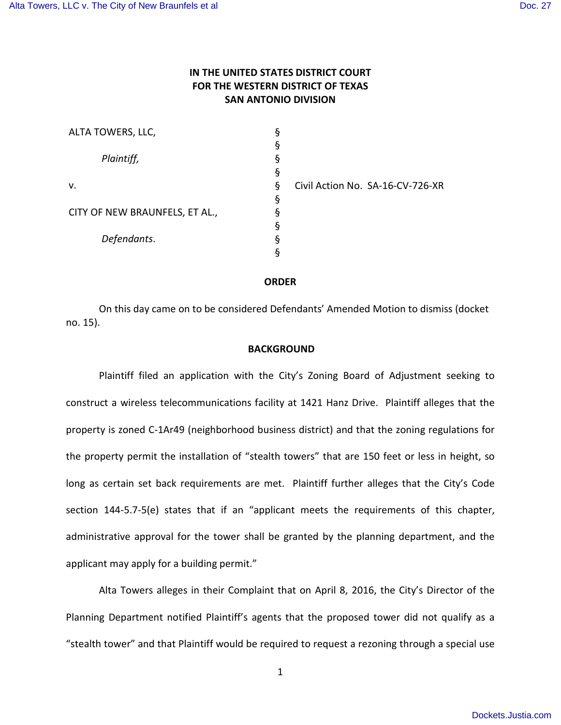# **IN THE UNITED STATES DISTRICT COURT FOR THE WESTERN DISTRICT OF TEXAS SAN ANTONIO DIVISION**

| ALTA TOWERS, LLC,              | ξ |                                  |
|--------------------------------|---|----------------------------------|
|                                | Š |                                  |
| Plaintiff,                     | ş |                                  |
|                                | Ŕ |                                  |
| v.                             | ξ | Civil Action No. SA-16-CV-726-XR |
|                                | ş |                                  |
| CITY OF NEW BRAUNFELS, ET AL., | ş |                                  |
|                                | ş |                                  |
| Defendants.                    | ২ |                                  |
|                                |   |                                  |

#### **ORDER**

On this day came on to be considered Defendants' Amended Motion to dismiss (docket no. 15).

#### **BACKGROUND**

Plaintiff filed an application with the City's Zoning Board of Adjustment seeking to construct a wireless telecommunications facility at 1421 Hanz Drive. Plaintiff alleges that the property is zoned C-1Ar49 (neighborhood business district) and that the zoning regulations for the property permit the installation of "stealth towers" that are 150 feet or less in height, so long as certain set back requirements are met. Plaintiff further alleges that the City's Code section 144-5.7-5(e) states that if an "applicant meets the requirements of this chapter, administrative approval for the tower shall be granted by the planning department, and the applicant may apply for a building permit."

Alta Towers alleges in their Complaint that on April 8, 2016, the City's Director of the Planning Department notified Plaintiff's agents that the proposed tower did not qualify as a "stealth tower" and that Plaintiff would be required to request a rezoning through a special use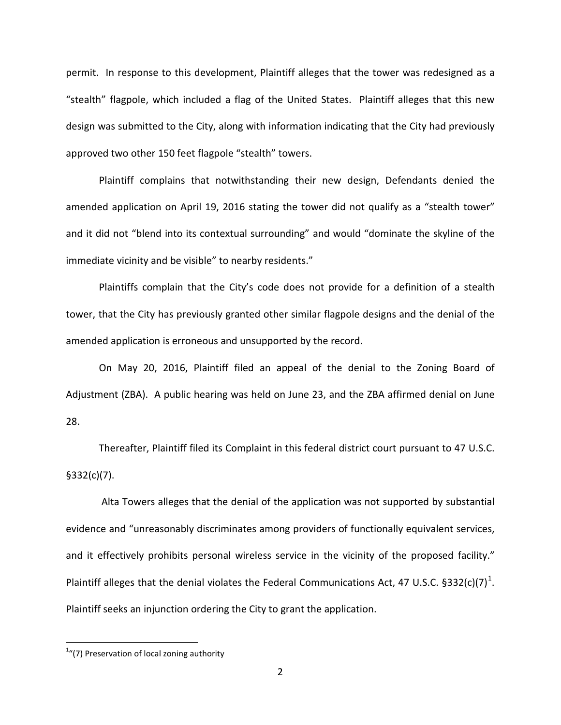permit. In response to this development, Plaintiff alleges that the tower was redesigned as a "stealth" flagpole, which included a flag of the United States. Plaintiff alleges that this new design was submitted to the City, along with information indicating that the City had previously approved two other 150 feet flagpole "stealth" towers.

Plaintiff complains that notwithstanding their new design, Defendants denied the amended application on April 19, 2016 stating the tower did not qualify as a "stealth tower" and it did not "blend into its contextual surrounding" and would "dominate the skyline of the immediate vicinity and be visible" to nearby residents."

Plaintiffs complain that the City's code does not provide for a definition of a stealth tower, that the City has previously granted other similar flagpole designs and the denial of the amended application is erroneous and unsupported by the record.

On May 20, 2016, Plaintiff filed an appeal of the denial to the Zoning Board of Adjustment (ZBA). A public hearing was held on June 23, and the ZBA affirmed denial on June 28.

Thereafter, Plaintiff filed its Complaint in this federal district court pursuant to 47 U.S.C.  $§332(c)(7).$ 

Alta Towers alleges that the denial of the application was not supported by substantial evidence and "unreasonably discriminates among providers of functionally equivalent services, and it effectively prohibits personal wireless service in the vicinity of the proposed facility." Plaintiff alleges that the denial violates the Federal Communications Act, 47 U.S.C. §332(c)(7)<sup>[1](#page-1-0)</sup>. Plaintiff seeks an injunction ordering the City to grant the application.

 $\overline{a}$ 

<span id="page-1-0"></span> $1''$ (7) Preservation of local zoning authority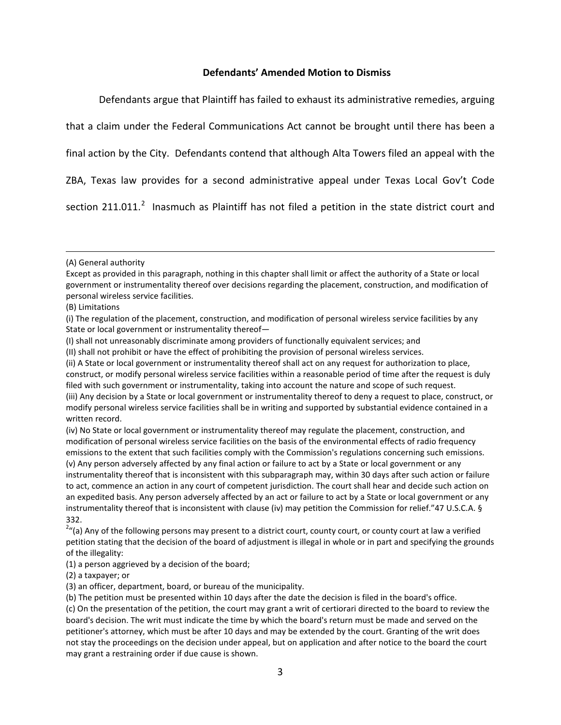## **Defendants' Amended Motion to Dismiss**

Defendants argue that Plaintiff has failed to exhaust its administrative remedies, arguing

that a claim under the Federal Communications Act cannot be brought until there has been a

final action by the City. Defendants contend that although Alta Towers filed an appeal with the

ZBA, Texas law provides for a second administrative appeal under Texas Local Gov't Code

section [2](#page-2-0)11.011.<sup>2</sup> Inasmuch as Plaintiff has not filed a petition in the state district court and

1

(iv) No State or local government or instrumentality thereof may regulate the placement, construction, and modification of personal wireless service facilities on the basis of the environmental effects of radio frequency emissions to the extent that such facilities comply with the Commission's regulations concerning such emissions. (v) Any person adversely affected by any final action or failure to act by a State or local government or any instrumentality thereof that is inconsistent with this subparagraph may, within 30 days after such action or failure to act, commence an action in any court of competent jurisdiction. The court shall hear and decide such action on an expedited basis. Any person adversely affected by an act or failure to act by a State or local government or any instrumentality thereof that is inconsistent with clause (iv) may petition the Commission for relief."47 U.S.C.A. § 332.

<span id="page-2-0"></span> $2^{\alpha}$ (a) Any of the following persons may present to a district court, county court, or county court at law a verified petition stating that the decision of the board of adjustment is illegal in whole or in part and specifying the grounds of the illegality:

(1) a person aggrieved by a decision of the board;

(2) a taxpayer; or

(3) an officer, department, board, or bureau of the municipality.

(b) The petition must be presented within 10 days after the date the decision is filed in the board's office. (c) On the presentation of the petition, the court may grant a writ of certiorari directed to the board to review the board's decision. The writ must indicate the time by which the board's return must be made and served on the petitioner's attorney, which must be after 10 days and may be extended by the court. Granting of the writ does not stay the proceedings on the decision under appeal, but on application and after notice to the board the court may grant a restraining order if due cause is shown.

<sup>(</sup>A) General authority

Except as provided in this paragraph, nothing in this chapter shall limit or affect the authority of a State or local government or instrumentality thereof over decisions regarding the placement, construction, and modification of personal wireless service facilities.

<sup>(</sup>B) Limitations

<sup>(</sup>i) The regulation of the placement, construction, and modification of personal wireless service facilities by any State or local government or instrumentality thereof—

<sup>(</sup>I) shall not unreasonably discriminate among providers of functionally equivalent services; and

<sup>(</sup>II) shall not prohibit or have the effect of prohibiting the provision of personal wireless services.

<sup>(</sup>ii) A State or local government or instrumentality thereof shall act on any request for authorization to place, construct, or modify personal wireless service facilities within a reasonable period of time after the request is duly filed with such government or instrumentality, taking into account the nature and scope of such request. (iii) Any decision by a State or local government or instrumentality thereof to deny a request to place, construct, or modify personal wireless service facilities shall be in writing and supported by substantial evidence contained in a written record.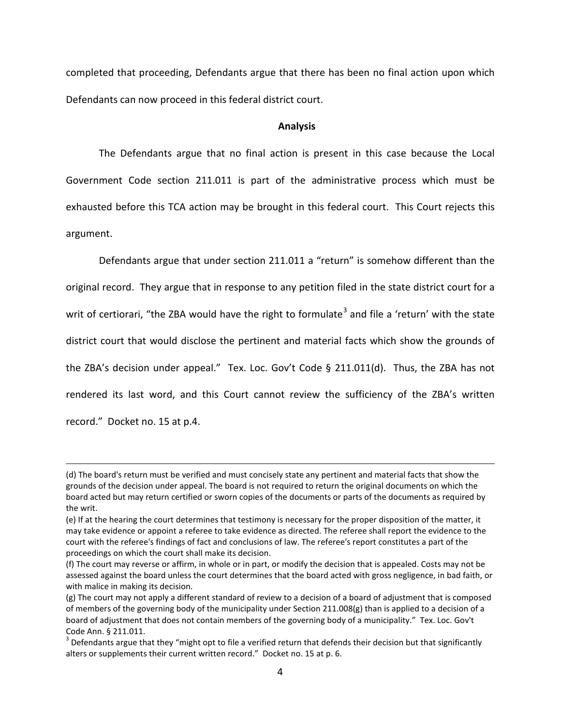completed that proceeding, Defendants argue that there has been no final action upon which Defendants can now proceed in this federal district court.

### **Analysis**

The Defendants argue that no final action is present in this case because the Local Government Code section 211.011 is part of the administrative process which must be exhausted before this TCA action may be brought in this federal court. This Court rejects this argument.

Defendants argue that under section 211.011 a "return" is somehow different than the original record. They argue that in response to any petition filed in the state district court for a writ of certiorari, "the ZBA would have the right to formulate<sup>[3](#page-3-0)</sup> and file a 'return' with the state district court that would disclose the pertinent and material facts which show the grounds of the ZBA's decision under appeal." Tex. Loc. Gov't Code § 211.011(d). Thus, the ZBA has not rendered its last word, and this Court cannot review the sufficiency of the ZBA's written record." Docket no. 15 at p.4.

l

<sup>(</sup>d) The board's return must be verified and must concisely state any pertinent and material facts that show the grounds of the decision under appeal. The board is not required to return the original documents on which the board acted but may return certified or sworn copies of the documents or parts of the documents as required by the writ.

<sup>(</sup>e) If at the hearing the court determines that testimony is necessary for the proper disposition of the matter, it may take evidence or appoint a referee to take evidence as directed. The referee shall report the evidence to the court with the referee's findings of fact and conclusions of law. The referee's report constitutes a part of the proceedings on which the court shall make its decision.

<sup>(</sup>f) The court may reverse or affirm, in whole or in part, or modify the decision that is appealed. Costs may not be assessed against the board unless the court determines that the board acted with gross negligence, in bad faith, or with malice in making its decision.

<sup>(</sup>g) The court may not apply a different standard of review to a decision of a board of adjustment that is composed of members of the governing body of the municipality under Section 211.008(g) than is applied to a decision of a board of adjustment that does not contain members of the governing body of a municipality." Tex. Loc. Gov't Code Ann. § 211.011.

<span id="page-3-0"></span> $3$  Defendants argue that they "might opt to file a verified return that defends their decision but that significantly alters or supplements their current written record." Docket no. 15 at p. 6.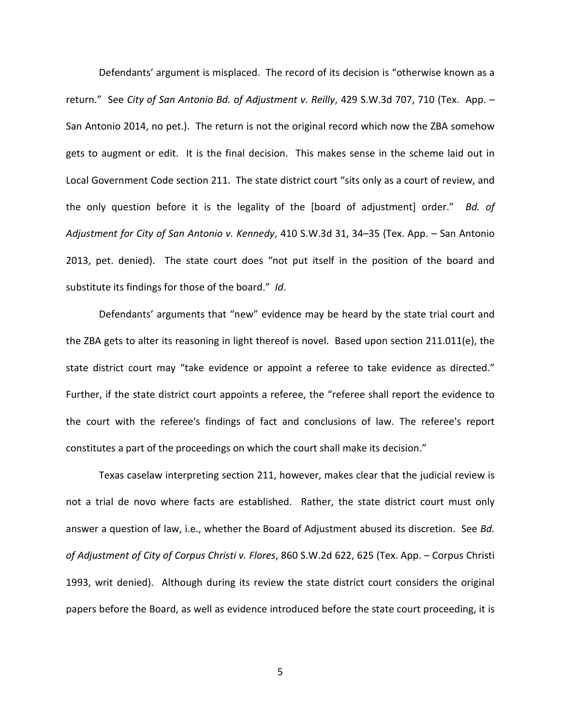Defendants' argument is misplaced. The record of its decision is "otherwise known as a return." See *City of San Antonio Bd. of Adjustment v. Reilly*, 429 S.W.3d 707, 710 (Tex. App. – San Antonio 2014, no pet.). The return is not the original record which now the ZBA somehow gets to augment or edit. It is the final decision. This makes sense in the scheme laid out in Local Government Code section 211. The state district court "sits only as a court of review, and the only question before it is the legality of the [board of adjustment] order." *Bd. of Adjustment for City of San Antonio v. Kennedy*, 410 S.W.3d 31, 34–35 (Tex. App. – San Antonio 2013, pet. denied). The state court does "not put itself in the position of the board and substitute its findings for those of the board." *Id*.

Defendants' arguments that "new" evidence may be heard by the state trial court and the ZBA gets to alter its reasoning in light thereof is novel. Based upon section 211.011(e), the state district court may "take evidence or appoint a referee to take evidence as directed." Further, if the state district court appoints a referee, the "referee shall report the evidence to the court with the referee's findings of fact and conclusions of law. The referee's report constitutes a part of the proceedings on which the court shall make its decision."

Texas caselaw interpreting section 211, however, makes clear that the judicial review is not a trial de novo where facts are established. Rather, the state district court must only answer a question of law, i.e., whether the Board of Adjustment abused its discretion. See *Bd. of Adjustment of City of Corpus Christi v. Flores*, 860 S.W.2d 622, 625 (Tex. App. – Corpus Christi 1993, writ denied). Although during its review the state district court considers the original papers before the Board, as well as evidence introduced before the state court proceeding, it is

5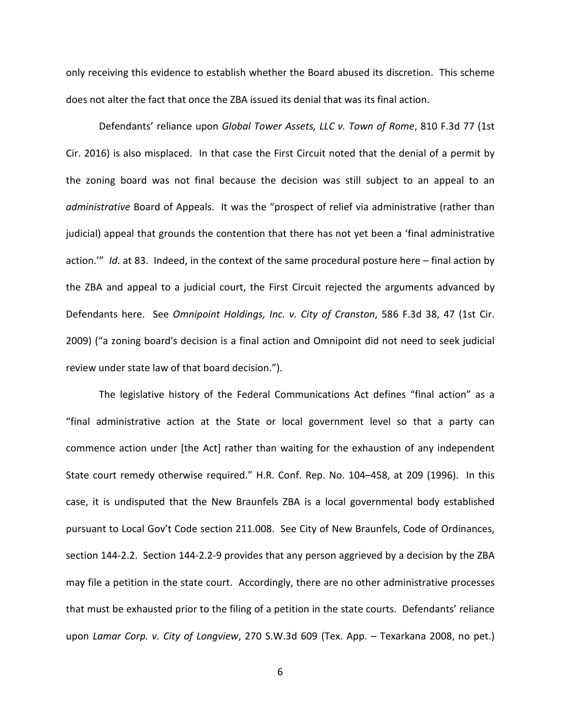only receiving this evidence to establish whether the Board abused its discretion. This scheme does not alter the fact that once the ZBA issued its denial that was its final action.

Defendants' reliance upon *Global Tower Assets, LLC v. Town of Rome*, 810 F.3d 77 (1st Cir. 2016) is also misplaced. In that case the First Circuit noted that the denial of a permit by the zoning board was not final because the decision was still subject to an appeal to an *administrative* Board of Appeals. It was the "prospect of relief via administrative (rather than judicial) appeal that grounds the contention that there has not yet been a 'final administrative action.'" *Id*. at 83. Indeed, in the context of the same procedural posture here – final action by the ZBA and appeal to a judicial court, the First Circuit rejected the arguments advanced by Defendants here. See *Omnipoint Holdings, Inc. v. City of Cranston*, 586 F.3d 38, 47 (1st Cir. 2009) ("a zoning board's decision is a final action and Omnipoint did not need to seek judicial review under state law of that board decision.").

The legislative history of the Federal Communications Act defines "final action" as a "final administrative action at the State or local government level so that a party can commence action under [the Act] rather than waiting for the exhaustion of any independent State court remedy otherwise required." H.R. Conf. Rep. No. 104–458, at 209 (1996). In this case, it is undisputed that the New Braunfels ZBA is a local governmental body established pursuant to Local Gov't Code section 211.008. See City of New Braunfels, Code of Ordinances, section 144-2.2. Section 144-2.2-9 provides that any person aggrieved by a decision by the ZBA may file a petition in the state court. Accordingly, there are no other administrative processes that must be exhausted prior to the filing of a petition in the state courts. Defendants' reliance upon *Lamar Corp. v. City of Longview*, 270 S.W.3d 609 (Tex. App. – Texarkana 2008, no pet.)

6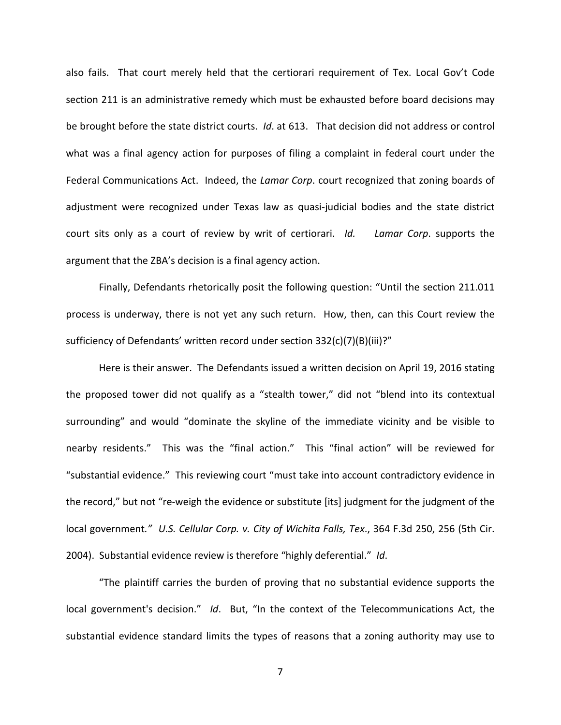also fails. That court merely held that the certiorari requirement of Tex. Local Gov't Code section 211 is an administrative remedy which must be exhausted before board decisions may be brought before the state district courts. *Id*. at 613. That decision did not address or control what was a final agency action for purposes of filing a complaint in federal court under the Federal Communications Act. Indeed, the *Lamar Corp*. court recognized that zoning boards of adjustment were recognized under Texas law as quasi-judicial bodies and the state district court sits only as a court of review by writ of certiorari. *Id. Lamar Corp*. supports the argument that the ZBA's decision is a final agency action.

Finally, Defendants rhetorically posit the following question: "Until the section 211.011 process is underway, there is not yet any such return. How, then, can this Court review the sufficiency of Defendants' written record under section 332(c)(7)(B)(iii)?"

Here is their answer. The Defendants issued a written decision on April 19, 2016 stating the proposed tower did not qualify as a "stealth tower," did not "blend into its contextual surrounding" and would "dominate the skyline of the immediate vicinity and be visible to nearby residents." This was the "final action." This "final action" will be reviewed for "substantial evidence." This reviewing court "must take into account contradictory evidence in the record," but not "re-weigh the evidence or substitute [its] judgment for the judgment of the local government*." U.S. Cellular Corp. v. City of Wichita Falls, Tex*., 364 F.3d 250, 256 (5th Cir. 2004). Substantial evidence review is therefore "highly deferential." *Id*.

"The plaintiff carries the burden of proving that no substantial evidence supports the local government's decision." *Id*. But, "In the context of the Telecommunications Act, the substantial evidence standard limits the types of reasons that a zoning authority may use to

7